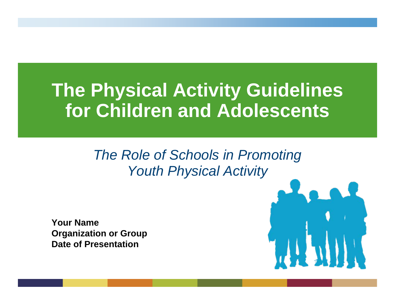## **The Physical Activity Guidelines for Children and Adolescents**

#### *The Role of Schools in Promoting Youth Physical Activity*

**Your NameOrganization or Group Date of Presentation**

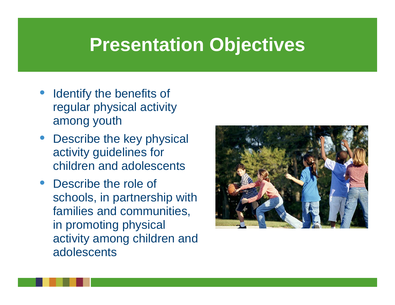## **Presentation Objectives**

- **Identify the benefits of** regular physical activity among youth
- Describe the key physical activity guidelines for children and adolescents
- Describe the role of schools, in partnership with families and communities, in promoting physical activity among children and adolescents

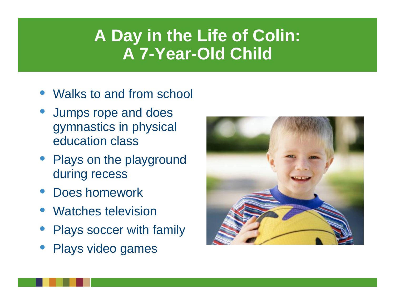### **A Day in the Life of Colin: A 7-Year-Old Child**

- Walks to and from school
- Jumps rope and does gymnastics in physical education class
- Plays on the playground during recess
- Does homework
- Watches television
- Plays soccer with family
- Plays video games

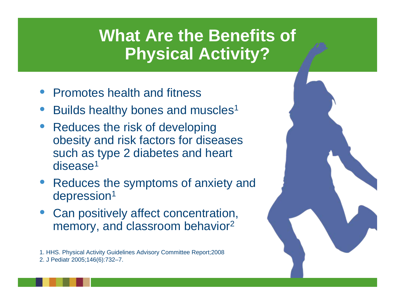### **What Are the Benefits of Physical Activity?**

- Promotes health and fitness
- Builds healthy bones and muscles<sup>1</sup>
- Reduces the risk of developing obesity and risk factors for diseases such as type 2 diabetes and heart disease<sup>1</sup>
- Reduces the symptoms of anxiety and depression<sup>1</sup>
- Can positively affect concentration, memory, and classroom behavior 2

1. HHS. Physical Activity Guidelines Advisory Committee Report;2008 2. J Pediatr 2005;146(6):732–7.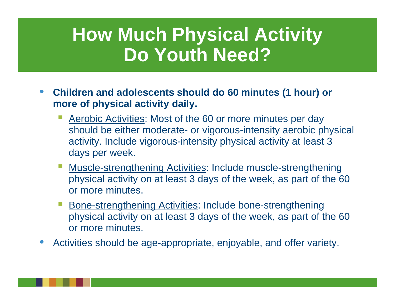## **How Much Physical Activity Do Youth Need?**

- **Children and adolescents should do 60 minutes (1 hour) or more of physical activity daily.**
	- Aerobic Activities: Most of the 60 or more minutes per day should be either moderate- or vigorous-intensity aerobic physical activity. Include vigorous-intensity physical activity at least 3 days per week.
	- **Muscle-strengthening Activities: Include muscle-strengthening** physical activity on at least 3 days of the week, as part of the 60 or more minutes.
	- **Service Service**  Bone-strengthening Activities: Include bone-strengthening physical activity on at least 3 days of the week, as part of the 60 or more minutes.
- Activities should be age-appropriate, enjoyable, and offer variety.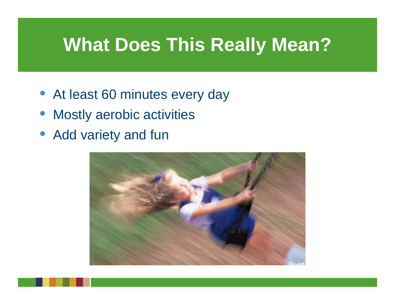## **What Does This Really Mean?**

- At least 60 minutes every day
- Mostly aerobic activities
- Add variety and fun

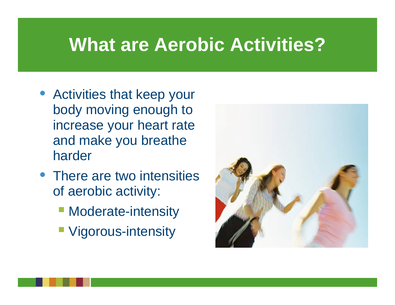## **What are Aerobic Activities?**

- Activities that keep your body moving enough to increase your heart rate and make you breathe harder
- There are two intensities of aerobic activity:
	- **Moderate-intensity**
	- **Nigorous-intensity**

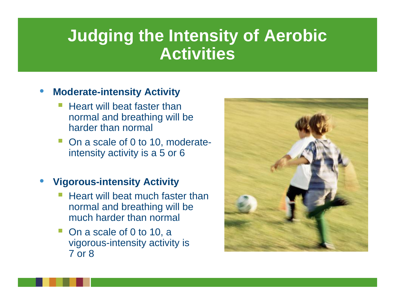#### **Judging the Intensity of Aerobic Activities**

#### • **Moderate-intensity Activity**

- Heart will beat faster than normal and breathing will be harder than normal
- On a scale of 0 to 10, moderateintensity activity is a 5 or 6

#### • **Vigorous-intensity Activity**

- Heart will beat much faster than normal and breathing will be much harder than normal
- On a scale of 0 to 10, a vigorous-intensity activity is 7 or 8

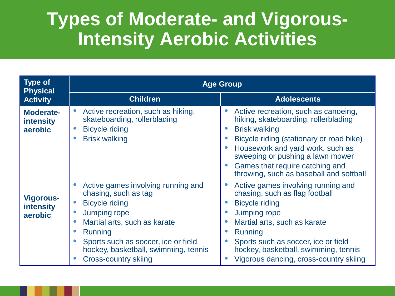#### **Types of Moderate- and Vigorous-Intensity Aerobic Activities**

| <b>Type of</b><br><b>Physical</b>               | <b>Age Group</b>                                                                                                                                                                                                                                                    |                                                                                                                                                                                                                                                                                                                     |  |
|-------------------------------------------------|---------------------------------------------------------------------------------------------------------------------------------------------------------------------------------------------------------------------------------------------------------------------|---------------------------------------------------------------------------------------------------------------------------------------------------------------------------------------------------------------------------------------------------------------------------------------------------------------------|--|
| <b>Activity</b>                                 | <b>Children</b>                                                                                                                                                                                                                                                     | <b>Adolescents</b>                                                                                                                                                                                                                                                                                                  |  |
| <b>Moderate-</b><br><b>intensity</b><br>aerobic | Active recreation, such as hiking,<br>skateboarding, rollerblading<br><b>Bicycle riding</b><br><b>Brisk walking</b>                                                                                                                                                 | Active recreation, such as canoeing,<br>hiking, skateboarding, rollerblading<br><b>Brisk walking</b><br>$\bullet$<br>Bicycle riding (stationary or road bike)<br>Housework and yard work, such as<br>sweeping or pushing a lawn mower<br>Games that require catching and<br>throwing, such as baseball and softball |  |
| <b>Vigorous-</b><br><b>intensity</b><br>aerobic | Active games involving running and<br>chasing, such as tag<br><b>Bicycle riding</b><br><b>Jumping rope</b><br>Martial arts, such as karate<br>Running<br>Sports such as soccer, ice or field<br>hockey, basketball, swimming, tennis<br><b>Cross-country skiing</b> | Active games involving running and<br>chasing, such as flag football<br><b>Bicycle riding</b><br>Jumping rope<br>Martial arts, such as karate<br>Running<br>Sports such as soccer, ice or field<br>hockey, basketball, swimming, tennis<br>Vigorous dancing, cross-country skiing                                   |  |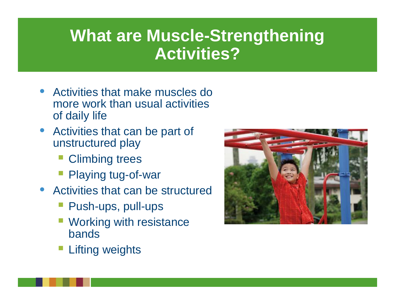### **What are Muscle-Strengthening Activities?**

- Activities that make muscles do more work than usual activities of daily life
- Activities that can be part of unstructured play
	- Climbing trees
	- Playing tug-of-war
- Activities that can be structured
	- Push-ups, pull-ups
	- Working with resistance bands
	- Lifting weights

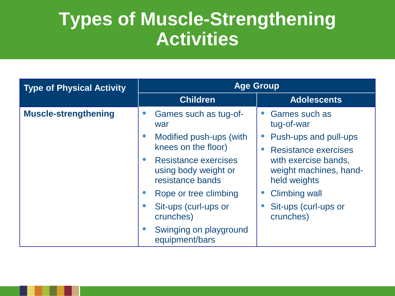#### **Types of Muscle-Strengthening Activities**

| <b>Type of Physical Activity</b> | <b>Age Group</b>                                                        |                                                                |  |
|----------------------------------|-------------------------------------------------------------------------|----------------------------------------------------------------|--|
|                                  | <b>Children</b>                                                         | <b>Adolescents</b>                                             |  |
| <b>Muscle-strengthening</b>      | Games such as tug-of-<br>war                                            | Games such as<br>tug-of-war                                    |  |
|                                  | Modified push-ups (with<br>knees on the floor)                          | Push-ups and pull-ups<br><b>Resistance exercises</b>           |  |
|                                  | <b>Resistance exercises</b><br>using body weight or<br>resistance bands | with exercise bands,<br>weight machines, hand-<br>held weights |  |
|                                  | Rope or tree climbing                                                   | <b>Climbing wall</b>                                           |  |
|                                  | Sit-ups (curl-ups or<br>$\bullet$<br>crunches)                          | Sit-ups (curl-ups or<br>crunches)                              |  |
|                                  | Swinging on playground<br>equipment/bars                                |                                                                |  |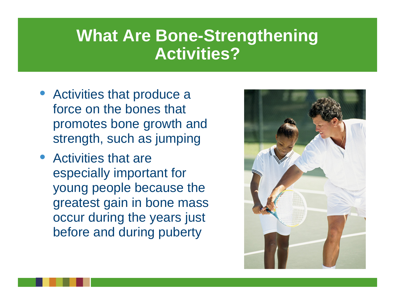#### **What Are Bone-Strengthening Activities?**

- Activities that produce a force on the bones that promotes bone growth and strength, such as jumping
- Activities that are especially important for young people because the greatest gain in bone mass occur during the years just before and during puberty

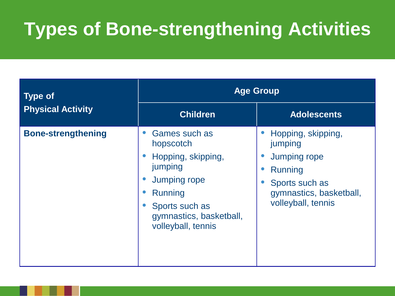### **Types of Bone-strengthening Activities**

| <b>Type of</b>            | <b>Age Group</b>                                                                                                                                                 |                                                                                                                                    |  |
|---------------------------|------------------------------------------------------------------------------------------------------------------------------------------------------------------|------------------------------------------------------------------------------------------------------------------------------------|--|
| <b>Physical Activity</b>  | <b>Children</b>                                                                                                                                                  | <b>Adolescents</b>                                                                                                                 |  |
| <b>Bone-strengthening</b> | Games such as<br>hopscotch<br>Hopping, skipping,<br>jumping<br><b>Jumping rope</b><br>Running<br>Sports such as<br>gymnastics, basketball,<br>volleyball, tennis | Hopping, skipping,<br>jumping<br><b>Jumping rope</b><br>Running<br>Sports such as<br>gymnastics, basketball,<br>volleyball, tennis |  |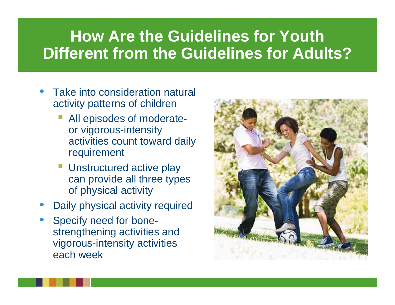#### **How Are the Guidelines for Youth Different from the Guidelines for Adults?**

- Take into consideration natural activity patterns of children
	- All episodes of moderateor vigorous-intensity activities count toward daily requirement
	- Unstructured active play can provide all three types of physical activity
- Daily physical activity required
- Specify need for bonestrengthening activities and vigorous-intensity activities each week

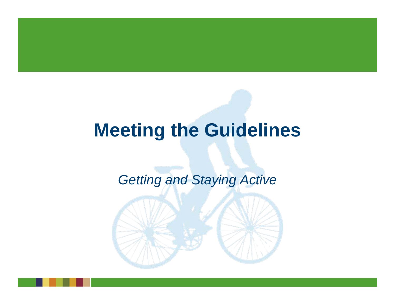### **Meeting the Guidelines**

#### *Getting and Staying Active*

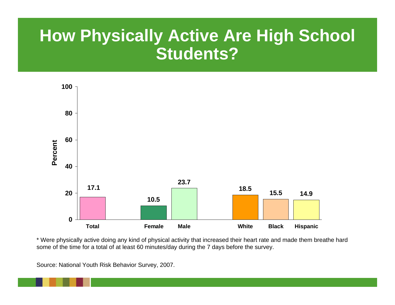### **How Physically Active Are High School Students?**



\* Were physically active doing any kind of physical activity that increased their heart rate and made them breathe hard some of the time for a total of at least 60 minutes/day during the 7 days before the survey.

Source: National Youth Risk Behavior Survey, 2007.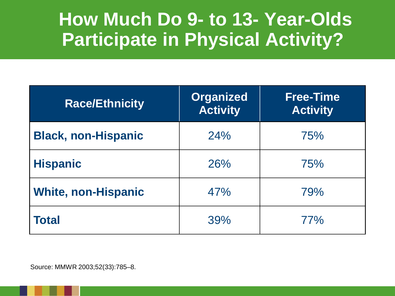#### **How Much Do 9- to 13- Year-Olds Participate in Physical Activity?**

| <b>Race/Ethnicity</b>      | <b>Organized</b><br><b>Activity</b> | <b>Free-Time</b><br><b>Activity</b> |
|----------------------------|-------------------------------------|-------------------------------------|
| <b>Black, non-Hispanic</b> | 24%                                 | 75%                                 |
| <b>Hispanic</b>            | 26%                                 | 75%                                 |
| <b>White, non-Hispanic</b> | 47%                                 | 79%                                 |
| Total                      | 39%                                 | 77%                                 |

Source: MMWR 2003;52(33):785–8.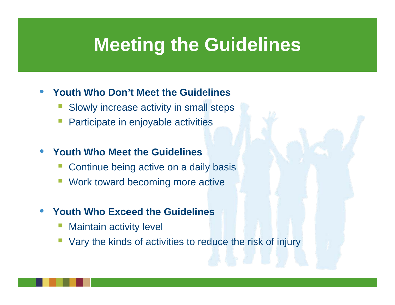## **Meeting the Guidelines**

#### • **Youth Who Don't Meet the Guidelines**

- **Service Service** Slowly increase activity in small steps
- **Service Service** Participate in enjoyable activities

#### • **Youth Who Meet the Guidelines**

- **Service Service** Continue being active on a daily basis
- **Service Service** Work toward becoming more active

#### • **Youth Who Exceed the Guidelines**

- **Service Service** Maintain activity level
- **Service Service** Vary the kinds of activities to reduce the risk of injury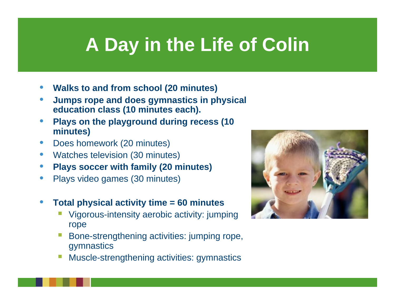## **A Day in the Life of Colin**

- **Walks to and from school (20 minutes)**
- **Jumps rope and does gymnastics in physical education class (10 minutes each).**
- **Plays on the playground during recess (10 minutes)**
- Does homework (20 minutes)
- Watches television (30 minutes)
- **Plays soccer with family (20 minutes)**
- Plays video games (30 minutes)
- **Total physical activity time = 60 minutes**
	- Vigorous-intensity aerobic activity: jumping rope
	- Bone-strengthening activities: jumping rope, gymnastics
	- **Service Service** Muscle-strengthening activities: gymnastics

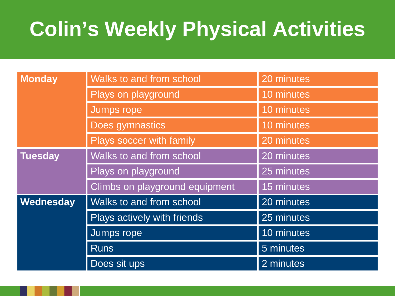## **Colin's Weekly Physical Activities**

| <b>Monday</b>  | Walks to and from school       | 20 minutes |
|----------------|--------------------------------|------------|
|                | Plays on playground            | 10 minutes |
|                | <b>Jumps rope</b>              | 10 minutes |
|                | Does gymnastics                | 10 minutes |
|                | Plays soccer with family       | 20 minutes |
| <b>Tuesday</b> | Walks to and from school       | 20 minutes |
|                | Plays on playground            | 25 minutes |
|                | Climbs on playground equipment | 15 minutes |
| Wednesday      | Walks to and from school       | 20 minutes |
|                | Plays actively with friends    | 25 minutes |
|                | Jumps rope                     | 10 minutes |
|                | <b>Runs</b>                    | 5 minutes  |
|                | Does sit ups                   | 2 minutes  |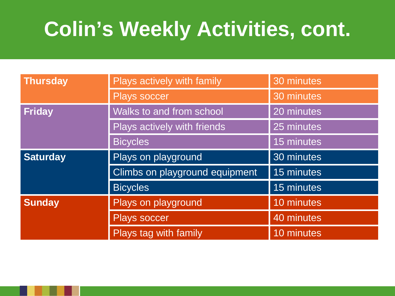## **Colin's Weekly Activities, cont.**

| <b>Thursday</b> | Plays actively with family     | 30 minutes |
|-----------------|--------------------------------|------------|
|                 | <b>Plays soccer</b>            | 30 minutes |
| <b>Friday</b>   | Walks to and from school       | 20 minutes |
|                 | Plays actively with friends    | 25 minutes |
|                 | <b>Bicycles</b>                | 15 minutes |
| <b>Saturday</b> | Plays on playground            | 30 minutes |
|                 | Climbs on playground equipment | 15 minutes |
|                 | <b>Bicycles</b>                | 15 minutes |
| <b>Sunday</b>   | Plays on playground            | 10 minutes |
|                 | <b>Plays soccer</b>            | 40 minutes |
|                 | Plays tag with family          | 10 minutes |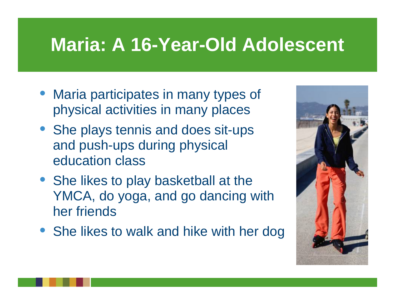## **Maria: A 16-Year-Old Adolescent**

- Maria participates in many types of physical activities in many places
- She plays tennis and does sit-ups and push-ups during physical education class
- She likes to play basketball at the YMCA, do yoga, and go dancing with her friends
- She likes to walk and hike with her dog

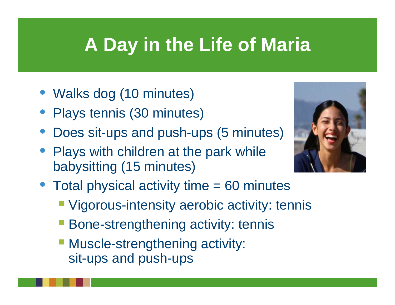## **A Day in the Life of Maria**

- Walks dog (10 minutes)
- Plays tennis (30 minutes)
- Does sit-ups and push-ups (5 minutes)
- Plays with children at the park while babysitting (15 minutes)



- Total physical activity time = 60 minutes
	- **Vigorous-intensity aerobic activity: tennis**
	- **Bone-strengthening activity: tennis**
	- **Muscle-strengthening activity:** sit-ups and push-ups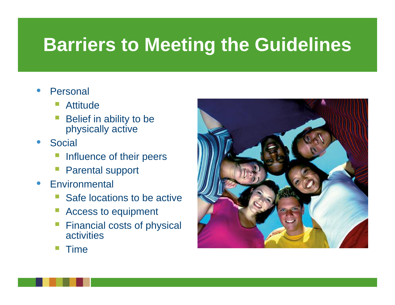## **Barriers to Meeting the Guidelines**

- **Personal** 
	- Attitude
	- Belief in ability to be physically active
- **Social** 
	- **Service Service** Influence of their peers
	- **Service Service** Parental support
- **Environmental** 
	- Safe locations to be active
	- Access to equipment
	- Financial costs of physical activities



Time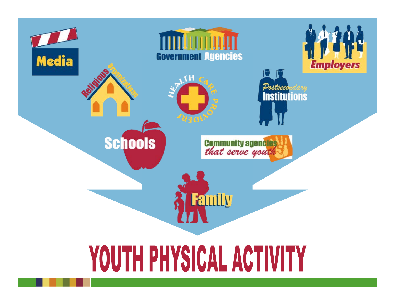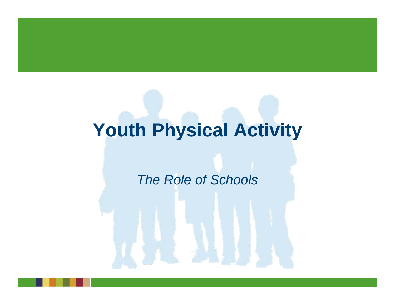## **Youth Physical Activity**

#### *The Role of Schools*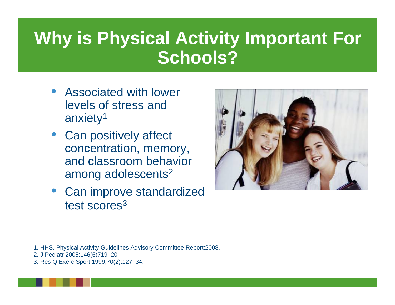### **Why is Physical Activity Important For Schools?**

- Associated with lower levels of stress and anxiety1
- Can positively affect concentration, memory, and classroom behavior among adolescents 2
- Can improve standardized test scores<sup>3</sup>



- 1. HHS. Physical Activity Guidelines Advisory Committee Report;2008.
- 2. J Pediatr 2005;146(6)719–20.
- 3. Res Q Exerc Sport 1999;70(2):127–34.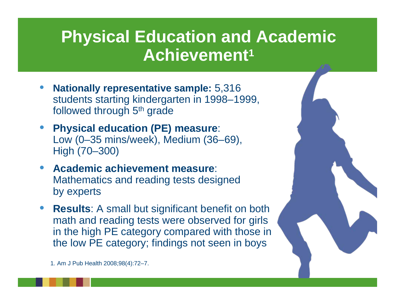### **Physical Education and Academic Achievement 1**

- **Nationally representative sample:** 5,316 students starting kindergarten in 1998–1999, followed through 5<sup>th</sup> grade
- **Physical education (PE) measure**: Low (0–35 mins/week), Medium (36–69), High (70–300)
- **Academic achievement measure**: Mathematics and reading tests designed by experts
- **Results:** A small but significant benefit on both math and reading tests were observed for girls in the high PE category compared with those in the low PE category; findings not seen in boys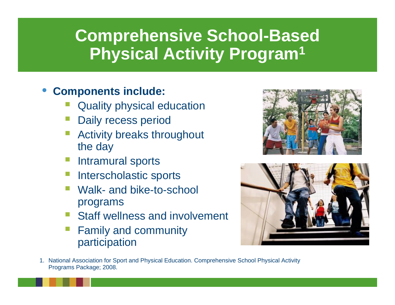### **Comprehensive School-Based Physical Activity Program 1**

#### • **Components include:**

- Quality physical education
- Daily recess period
- Activity breaks throughout the day
- Intramural sports
- Interscholastic sports
- Walk- and bike-to-school programs
- Staff wellness and involvement
- Family and community participation





1. National Association for Sport and Physical Education. Comprehensive School Physical Activity Programs Package; 2008.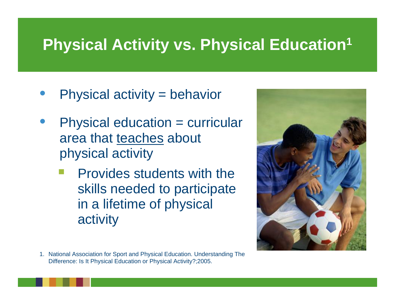### **Physical Activity vs. Physical Education 1**

- Physical activity = behavior
- Physical education = curricular area that teaches about physical activity
	- Provides students with the skills needed to participate in a lifetime of physical activity



1. National Association for Sport and Physical Education. Understanding The Difference: Is It Physical Education or Physical Activity?;2005.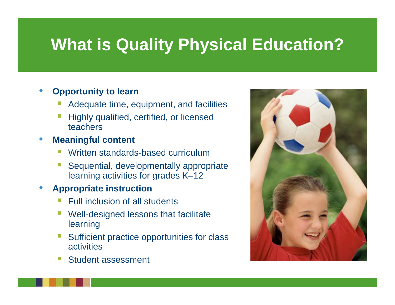## **What is Quality Physical Education?**

#### • **Opportunity to learn**

- P) Adequate time, equipment, and facilities
- F. Highly qualified, certified, or licensed teachers

#### • **Meaningful content**

- P) Written standards-based curriculum
- F. Sequential, developmentally appropriate learning activities for grades K–12

#### • **Appropriate instruction**

- P) Full inclusion of all students
- F. Well-designed lessons that facilitate learning
- Sufficient practice opportunities for class **activities**
- P) Student assessment

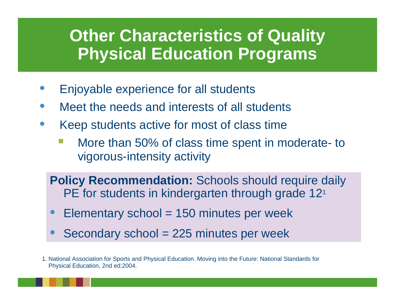#### **Other Characteristics of Quality Physical Education Programs**

- Enjoyable experience for all students
- Meet the needs and interests of all students
- Keep students active for most of class time
	- More than 50% of class time spent in moderate- to vigorous-intensity activity

**Policy Recommendation: Schools should require daily** PE for students in kindergarten through grade 12<sup>1</sup>

- $Elementary school = 150 minutes per week$
- Secondary school = 225 minutes per week

1. National Association for Sports and Physical Education. Moving into the Future: National Standards for Physical Education, 2nd ed;2004.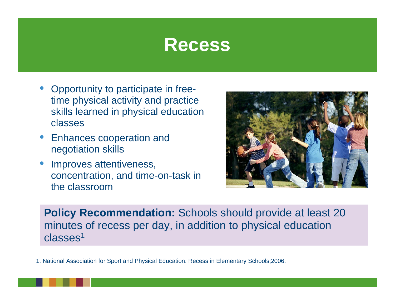### **Recess**

- Opportunity to participate in freetime physical activity and practice skills learned in physical education classes
- Enhances cooperation and negotiation skills
- Improves attentiveness, concentration, and time-on-task in the classroom



**Policy Recommendation:** Schools should provide at least 20 minutes of recess per day, in addition to physical education classes<sup>1</sup>

1. National Association for Sport and Physical Education. Recess in Elementary Schools;2006.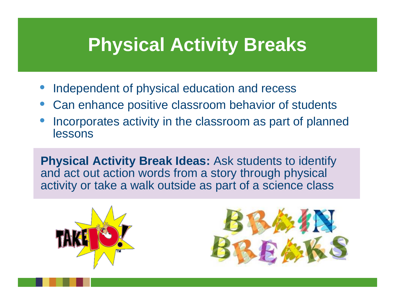## **Physical Activity Breaks**

- Independent of physical education and recess
- Can enhance positive classroom behavior of students
- Incorporates activity in the classroom as part of planned lessons

**Physical Activity Break Ideas:** Ask students to identify and act out action words from a story through physical activity or take a walk outside as part of a science class



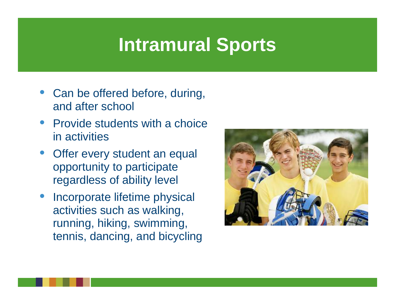## **Intramural Sports**

- Can be offered before, during, and after school
- Provide students with a choice in activities
- Offer every student an equal opportunity to participate regardless of ability level
- Incorporate lifetime physical activities such as walking, running, hiking, swimming, tennis, dancing, and bicycling

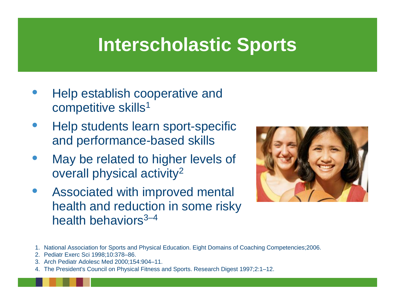## **Interscholastic Sports**

- Help establish cooperative and competitive skills<sup>1</sup>
- Help students learn sport-specific and performance-based skills
- May be related to higher levels of overall physical activity 2
- Associated with improved mental health and reduction in some risky health behaviors $3-4$



- 1. National Association for Sports and Physical Education. Eight Domains of Coaching Competencies;2006.
- 2. Pediatr Exerc Sci 1998;10:378–86.
- 3. Arch Pediatr Adolesc Med 2000;154:904–11.
- 4. The President's Council on Physical Fitness and Sports. Research Digest 1997;2:1–12.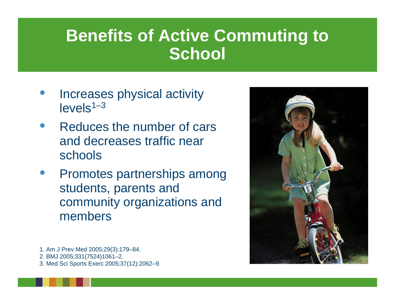### **Benefits of Active Commuting to School**

- Increases physical activity  $levels<sup>1–3</sup>$
- Reduces the number of cars and decreases traffic near schools
- Promotes partnerships among students, parents and community organizations and members



1. Am J Prev Med 2005;29(3):179–84. 2. BMJ 2005;331(7524)1061–2. 3. Med Sci Sports Exerc 2005;37(12):2062–9.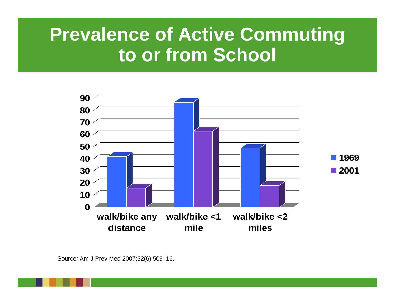## **Prevalence of Active Commuting to or from School**

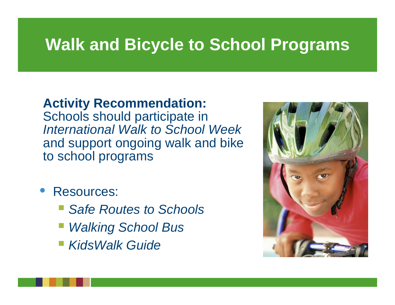## **Walk and Bicycle to School Programs**

#### **Activity Recommendation:**

Schools should participate in *International Walk to School Week*  and support ongoing walk and bike to school programs

- Resources:
	- *Safe Routes to Schools*
	- $\mathbb{R}^3$ *Walking School Bus*
	- $\mathbb{R}^3$ *KidsWalk Guide*

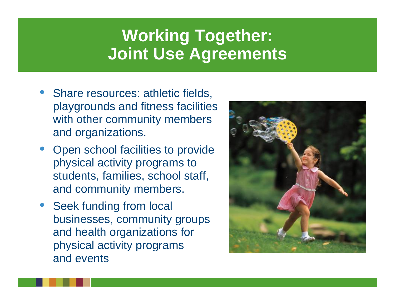### **Working Together: Joint Use Agreements**

- Share resources: athletic fields, playgrounds and fitness facilities with other community members and organizations.
- Open school facilities to provide physical activity programs to students, families, school staff, and community members.
- Seek funding from local businesses, community groups and health organizations for physical activity programs and events

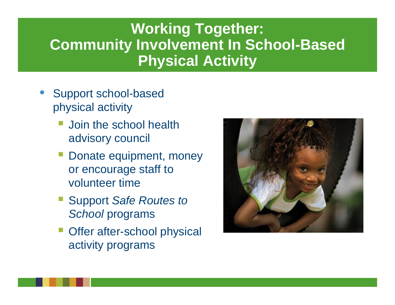#### **Working Together: Community Involvement In School-Based Physical Activity**

- Support school-based physical activity
	- Join the school health advisory council
	- Donate equipment, money or encourage staff to volunteer time
	- Support *Safe Routes to School* programs
	- **Offer after-school physical** activity programs

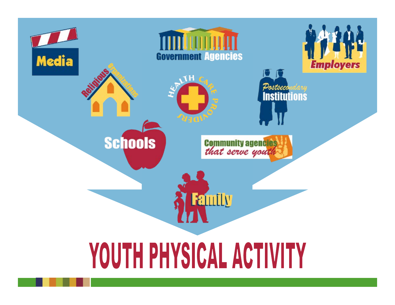